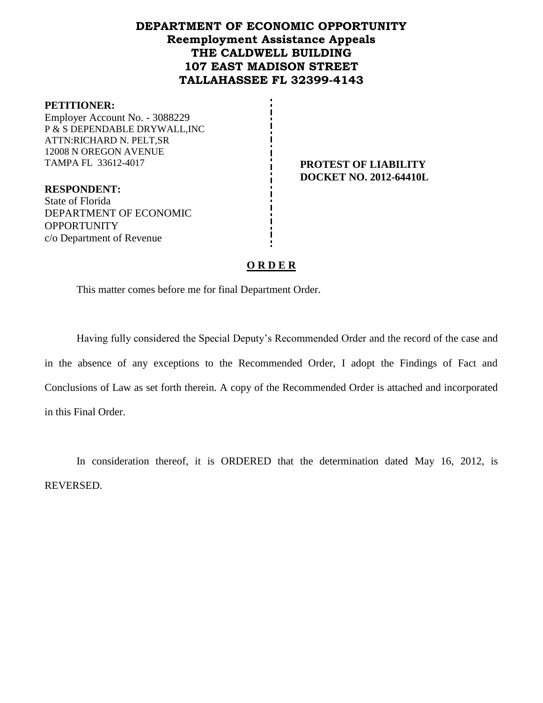# **DEPARTMENT OF ECONOMIC OPPORTUNITY Reemployment Assistance Appeals THE CALDWELL BUILDING 107 EAST MADISON STREET TALLAHASSEE FL 32399-4143**

#### **PETITIONER:**

Employer Account No. - 3088229 P & S DEPENDABLE DRYWALL,INC ATTN:RICHARD N. PELT,SR 12008 N OREGON AVENUE TAMPA FL 33612-4017 **PROTEST OF LIABILITY**

**DOCKET NO. 2012-64410L**

**RESPONDENT:** State of Florida DEPARTMENT OF ECONOMIC **OPPORTUNITY** c/o Department of Revenue

## **O R D E R**

This matter comes before me for final Department Order.

Having fully considered the Special Deputy's Recommended Order and the record of the case and in the absence of any exceptions to the Recommended Order, I adopt the Findings of Fact and Conclusions of Law as set forth therein. A copy of the Recommended Order is attached and incorporated in this Final Order.

In consideration thereof, it is ORDERED that the determination dated May 16, 2012, is REVERSED.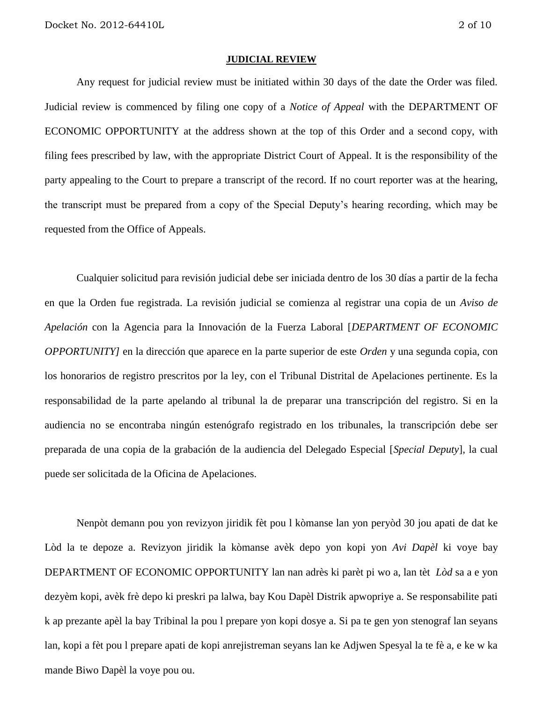#### **JUDICIAL REVIEW**

Any request for judicial review must be initiated within 30 days of the date the Order was filed. Judicial review is commenced by filing one copy of a *Notice of Appeal* with the DEPARTMENT OF ECONOMIC OPPORTUNITY at the address shown at the top of this Order and a second copy, with filing fees prescribed by law, with the appropriate District Court of Appeal. It is the responsibility of the party appealing to the Court to prepare a transcript of the record. If no court reporter was at the hearing, the transcript must be prepared from a copy of the Special Deputy's hearing recording, which may be requested from the Office of Appeals.

Cualquier solicitud para revisión judicial debe ser iniciada dentro de los 30 días a partir de la fecha en que la Orden fue registrada. La revisión judicial se comienza al registrar una copia de un *Aviso de Apelación* con la Agencia para la Innovación de la Fuerza Laboral [*DEPARTMENT OF ECONOMIC OPPORTUNITY]* en la dirección que aparece en la parte superior de este *Orden* y una segunda copia, con los honorarios de registro prescritos por la ley, con el Tribunal Distrital de Apelaciones pertinente. Es la responsabilidad de la parte apelando al tribunal la de preparar una transcripción del registro. Si en la audiencia no se encontraba ningún estenógrafo registrado en los tribunales, la transcripción debe ser preparada de una copia de la grabación de la audiencia del Delegado Especial [*Special Deputy*], la cual puede ser solicitada de la Oficina de Apelaciones.

Nenpòt demann pou yon revizyon jiridik fèt pou l kòmanse lan yon peryòd 30 jou apati de dat ke Lòd la te depoze a. Revizyon jiridik la kòmanse avèk depo yon kopi yon *Avi Dapèl* ki voye bay DEPARTMENT OF ECONOMIC OPPORTUNITY lan nan adrès ki parèt pi wo a, lan tèt *Lòd* sa a e yon dezyèm kopi, avèk frè depo ki preskri pa lalwa, bay Kou Dapèl Distrik apwopriye a. Se responsabilite pati k ap prezante apèl la bay Tribinal la pou l prepare yon kopi dosye a. Si pa te gen yon stenograf lan seyans lan, kopi a fèt pou l prepare apati de kopi anrejistreman seyans lan ke Adjwen Spesyal la te fè a, e ke w ka mande Biwo Dapèl la voye pou ou.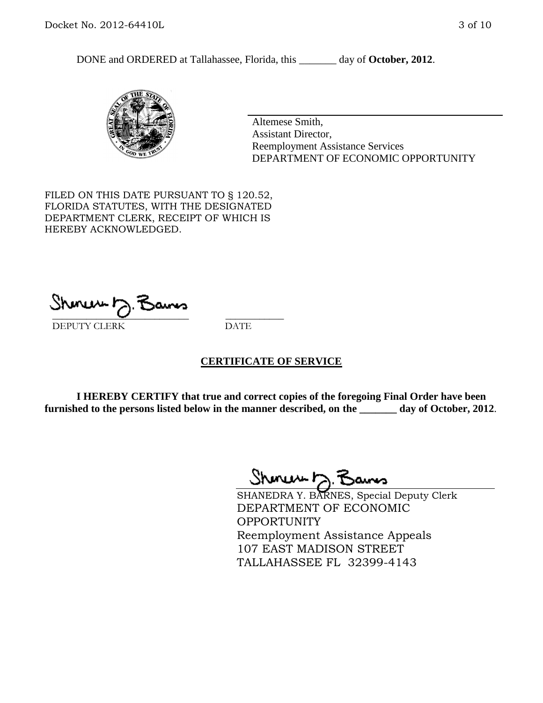DONE and ORDERED at Tallahassee, Florida, this day of October, 2012.



Altemese Smith, Assistant Director, Reemployment Assistance Services DEPARTMENT OF ECONOMIC OPPORTUNITY

FILED ON THIS DATE PURSUANT TO § 120.52, FLORIDA STATUTES, WITH THE DESIGNATED DEPARTMENT CLERK, RECEIPT OF WHICH IS HEREBY ACKNOWLEDGED.

 $\mathcal{S}$ hmun $\mapsto$   $\mathcal{S}$ amo DEPUTY CLERK DATE

### **CERTIFICATE OF SERVICE**

**I HEREBY CERTIFY that true and correct copies of the foregoing Final Order have been furnished to the persons listed below in the manner described, on the \_\_\_\_\_\_\_ day of October, 2012**.

Shmun 12.Z

SHANEDRA Y. BARNES, Special Deputy Clerk DEPARTMENT OF ECONOMIC OPPORTUNITY Reemployment Assistance Appeals 107 EAST MADISON STREET TALLAHASSEE FL 32399-4143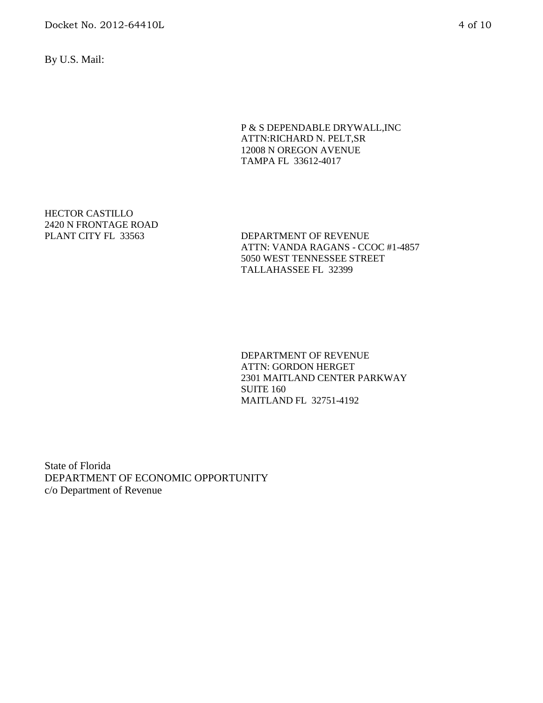By U.S. Mail:

#### P & S DEPENDABLE DRYWALL,INC ATTN:RICHARD N. PELT,SR 12008 N OREGON AVENUE TAMPA FL 33612-4017

HECTOR CASTILLO 2420 N FRONTAGE ROAD

DEPARTMENT OF REVENUE ATTN: VANDA RAGANS - CCOC #1-4857 5050 WEST TENNESSEE STREET TALLAHASSEE FL 32399

DEPARTMENT OF REVENUE ATTN: GORDON HERGET 2301 MAITLAND CENTER PARKWAY SUITE 160 MAITLAND FL 32751-4192

State of Florida DEPARTMENT OF ECONOMIC OPPORTUNITY c/o Department of Revenue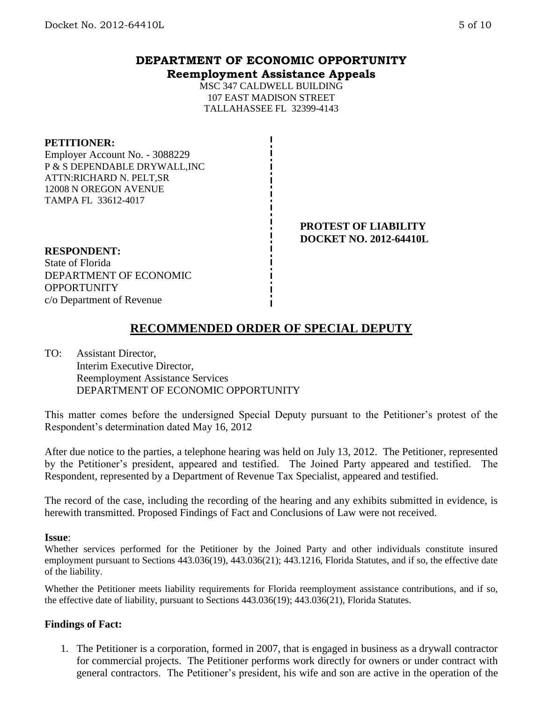## **DEPARTMENT OF ECONOMIC OPPORTUNITY Reemployment Assistance Appeals**

MSC 347 CALDWELL BUILDING 107 EAST MADISON STREET TALLAHASSEE FL 32399-4143

#### **PETITIONER:**

Employer Account No. - 3088229 P & S DEPENDABLE DRYWALL,INC ATTN:RICHARD N. PELT,SR 12008 N OREGON AVENUE TAMPA FL 33612-4017

> **PROTEST OF LIABILITY DOCKET NO. 2012-64410L**

#### **RESPONDENT:**

State of Florida DEPARTMENT OF ECONOMIC **OPPORTUNITY** c/o Department of Revenue

# **RECOMMENDED ORDER OF SPECIAL DEPUTY**

TO: Assistant Director, Interim Executive Director, Reemployment Assistance Services DEPARTMENT OF ECONOMIC OPPORTUNITY

This matter comes before the undersigned Special Deputy pursuant to the Petitioner's protest of the Respondent's determination dated May 16, 2012

After due notice to the parties, a telephone hearing was held on July 13, 2012. The Petitioner, represented by the Petitioner's president, appeared and testified. The Joined Party appeared and testified. The Respondent, represented by a Department of Revenue Tax Specialist, appeared and testified.

The record of the case, including the recording of the hearing and any exhibits submitted in evidence, is herewith transmitted. Proposed Findings of Fact and Conclusions of Law were not received.

### **Issue**:

Whether services performed for the Petitioner by the Joined Party and other individuals constitute insured employment pursuant to Sections 443.036(19), 443.036(21); 443.1216, Florida Statutes, and if so, the effective date of the liability.

Whether the Petitioner meets liability requirements for Florida reemployment assistance contributions, and if so, the effective date of liability, pursuant to Sections 443.036(19); 443.036(21), Florida Statutes.

### **Findings of Fact:**

1. The Petitioner is a corporation, formed in 2007, that is engaged in business as a drywall contractor for commercial projects. The Petitioner performs work directly for owners or under contract with general contractors. The Petitioner's president, his wife and son are active in the operation of the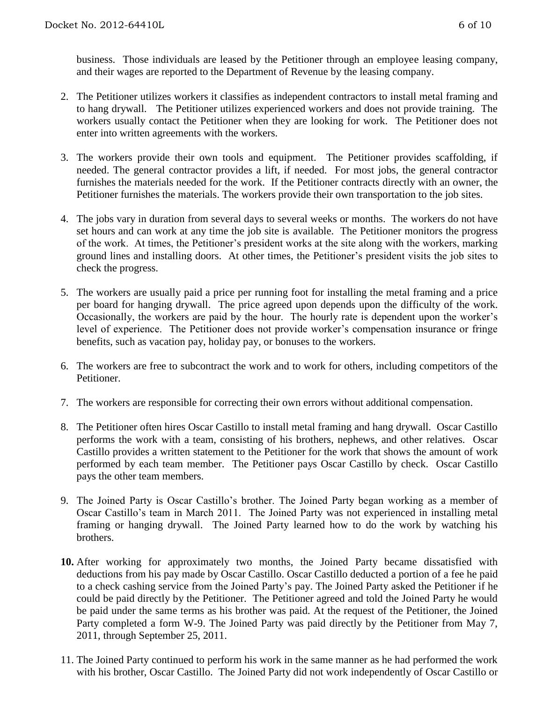business. Those individuals are leased by the Petitioner through an employee leasing company, and their wages are reported to the Department of Revenue by the leasing company.

- 2. The Petitioner utilizes workers it classifies as independent contractors to install metal framing and to hang drywall. The Petitioner utilizes experienced workers and does not provide training. The workers usually contact the Petitioner when they are looking for work. The Petitioner does not enter into written agreements with the workers.
- 3. The workers provide their own tools and equipment. The Petitioner provides scaffolding, if needed. The general contractor provides a lift, if needed. For most jobs, the general contractor furnishes the materials needed for the work. If the Petitioner contracts directly with an owner, the Petitioner furnishes the materials. The workers provide their own transportation to the job sites.
- 4. The jobs vary in duration from several days to several weeks or months. The workers do not have set hours and can work at any time the job site is available. The Petitioner monitors the progress of the work. At times, the Petitioner's president works at the site along with the workers, marking ground lines and installing doors. At other times, the Petitioner's president visits the job sites to check the progress.
- 5. The workers are usually paid a price per running foot for installing the metal framing and a price per board for hanging drywall. The price agreed upon depends upon the difficulty of the work. Occasionally, the workers are paid by the hour. The hourly rate is dependent upon the worker's level of experience. The Petitioner does not provide worker's compensation insurance or fringe benefits, such as vacation pay, holiday pay, or bonuses to the workers.
- 6. The workers are free to subcontract the work and to work for others, including competitors of the Petitioner.
- 7. The workers are responsible for correcting their own errors without additional compensation.
- 8. The Petitioner often hires Oscar Castillo to install metal framing and hang drywall. Oscar Castillo performs the work with a team, consisting of his brothers, nephews, and other relatives. Oscar Castillo provides a written statement to the Petitioner for the work that shows the amount of work performed by each team member. The Petitioner pays Oscar Castillo by check. Oscar Castillo pays the other team members.
- 9. The Joined Party is Oscar Castillo's brother. The Joined Party began working as a member of Oscar Castillo's team in March 2011. The Joined Party was not experienced in installing metal framing or hanging drywall. The Joined Party learned how to do the work by watching his brothers.
- **10.** After working for approximately two months, the Joined Party became dissatisfied with deductions from his pay made by Oscar Castillo. Oscar Castillo deducted a portion of a fee he paid to a check cashing service from the Joined Party's pay. The Joined Party asked the Petitioner if he could be paid directly by the Petitioner. The Petitioner agreed and told the Joined Party he would be paid under the same terms as his brother was paid. At the request of the Petitioner, the Joined Party completed a form W-9. The Joined Party was paid directly by the Petitioner from May 7, 2011, through September 25, 2011.
- 11. The Joined Party continued to perform his work in the same manner as he had performed the work with his brother, Oscar Castillo. The Joined Party did not work independently of Oscar Castillo or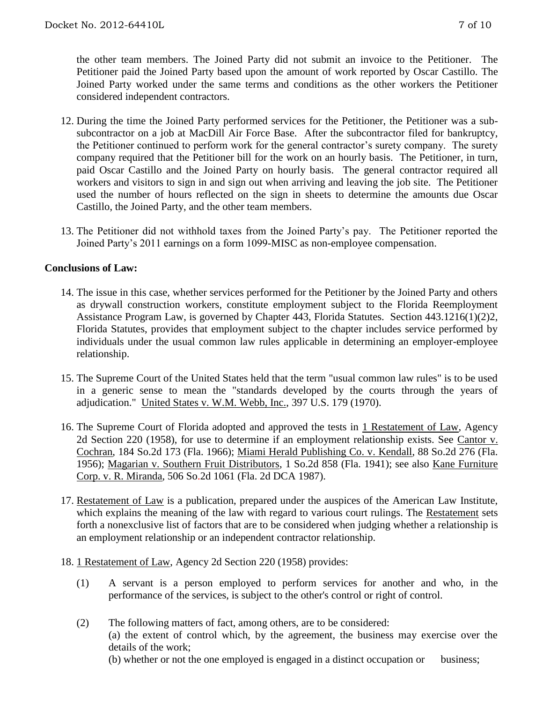the other team members. The Joined Party did not submit an invoice to the Petitioner. The Petitioner paid the Joined Party based upon the amount of work reported by Oscar Castillo. The Joined Party worked under the same terms and conditions as the other workers the Petitioner considered independent contractors.

- 12. During the time the Joined Party performed services for the Petitioner, the Petitioner was a subsubcontractor on a job at MacDill Air Force Base. After the subcontractor filed for bankruptcy, the Petitioner continued to perform work for the general contractor's surety company. The surety company required that the Petitioner bill for the work on an hourly basis. The Petitioner, in turn, paid Oscar Castillo and the Joined Party on hourly basis. The general contractor required all workers and visitors to sign in and sign out when arriving and leaving the job site. The Petitioner used the number of hours reflected on the sign in sheets to determine the amounts due Oscar Castillo, the Joined Party, and the other team members.
- 13. The Petitioner did not withhold taxes from the Joined Party's pay. The Petitioner reported the Joined Party's 2011 earnings on a form 1099-MISC as non-employee compensation.

## **Conclusions of Law:**

- 14. The issue in this case, whether services performed for the Petitioner by the Joined Party and others as drywall construction workers, constitute employment subject to the Florida Reemployment Assistance Program Law, is governed by Chapter 443, Florida Statutes. Section 443.1216(1)(2)2, Florida Statutes, provides that employment subject to the chapter includes service performed by individuals under the usual common law rules applicable in determining an employer-employee relationship.
- 15. The Supreme Court of the United States held that the term "usual common law rules" is to be used in a generic sense to mean the "standards developed by the courts through the years of adjudication." United States v. W.M. Webb, Inc., 397 U.S. 179 (1970).
- 16. The Supreme Court of Florida adopted and approved the tests in 1 Restatement of Law, Agency 2d Section 220 (1958), for use to determine if an employment relationship exists. See Cantor v. Cochran, 184 So.2d 173 (Fla. 1966); Miami Herald Publishing Co. v. Kendall, 88 So.2d 276 (Fla. 1956); Magarian v. Southern Fruit Distributors, 1 So.2d 858 (Fla. 1941); see also Kane Furniture Corp. v. R. Miranda, 506 So.2d 1061 (Fla. 2d DCA 1987).
- 17. Restatement of Law is a publication, prepared under the auspices of the American Law Institute, which explains the meaning of the law with regard to various court rulings. The Restatement sets forth a nonexclusive list of factors that are to be considered when judging whether a relationship is an employment relationship or an independent contractor relationship.
- 18. 1 Restatement of Law, Agency 2d Section 220 (1958) provides:
	- (1) A servant is a person employed to perform services for another and who, in the performance of the services, is subject to the other's control or right of control.
	- (2) The following matters of fact, among others, are to be considered: (a) the extent of control which, by the agreement, the business may exercise over the details of the work;

(b) whether or not the one employed is engaged in a distinct occupation or business;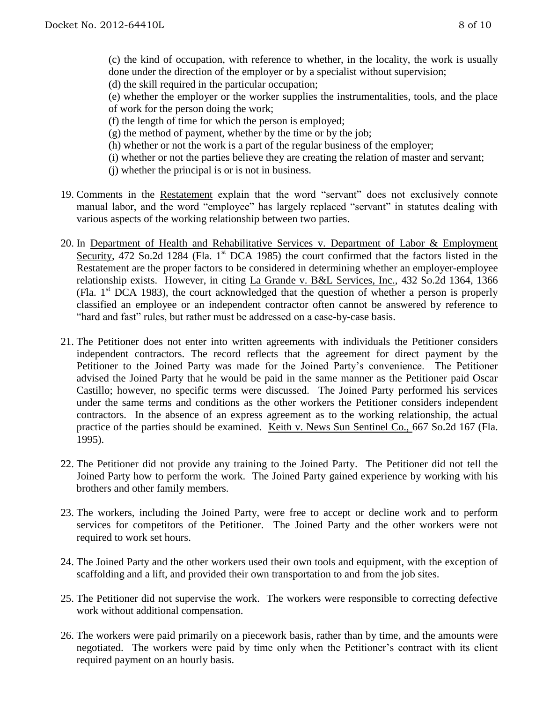(c) the kind of occupation, with reference to whether, in the locality, the work is usually done under the direction of the employer or by a specialist without supervision; (d) the skill required in the particular occupation;

(e) whether the employer or the worker supplies the instrumentalities, tools, and the place of work for the person doing the work;

(f) the length of time for which the person is employed;

- $(g)$  the method of payment, whether by the time or by the job;
- (h) whether or not the work is a part of the regular business of the employer;
- (i) whether or not the parties believe they are creating the relation of master and servant;
- (j) whether the principal is or is not in business.
- 19. Comments in the Restatement explain that the word "servant" does not exclusively connote manual labor, and the word "employee" has largely replaced "servant" in statutes dealing with various aspects of the working relationship between two parties.
- 20. In Department of Health and Rehabilitative Services v. Department of Labor & Employment Security, 472 So.2d 1284 (Fla. 1<sup>st</sup> DCA 1985) the court confirmed that the factors listed in the Restatement are the proper factors to be considered in determining whether an employer-employee relationship exists. However, in citing La Grande v. B&L Services, Inc., 432 So.2d 1364, 1366 (Fla.  $1<sup>st</sup> DCA$  1983), the court acknowledged that the question of whether a person is properly classified an employee or an independent contractor often cannot be answered by reference to "hard and fast" rules, but rather must be addressed on a case-by-case basis.
- 21. The Petitioner does not enter into written agreements with individuals the Petitioner considers independent contractors. The record reflects that the agreement for direct payment by the Petitioner to the Joined Party was made for the Joined Party's convenience. The Petitioner advised the Joined Party that he would be paid in the same manner as the Petitioner paid Oscar Castillo; however, no specific terms were discussed. The Joined Party performed his services under the same terms and conditions as the other workers the Petitioner considers independent contractors. In the absence of an express agreement as to the working relationship, the actual practice of the parties should be examined. Keith v. News Sun Sentinel Co., 667 So.2d 167 (Fla. 1995).
- 22. The Petitioner did not provide any training to the Joined Party. The Petitioner did not tell the Joined Party how to perform the work. The Joined Party gained experience by working with his brothers and other family members.
- 23. The workers, including the Joined Party, were free to accept or decline work and to perform services for competitors of the Petitioner. The Joined Party and the other workers were not required to work set hours.
- 24. The Joined Party and the other workers used their own tools and equipment, with the exception of scaffolding and a lift, and provided their own transportation to and from the job sites.
- 25. The Petitioner did not supervise the work. The workers were responsible to correcting defective work without additional compensation.
- 26. The workers were paid primarily on a piecework basis, rather than by time, and the amounts were negotiated. The workers were paid by time only when the Petitioner's contract with its client required payment on an hourly basis.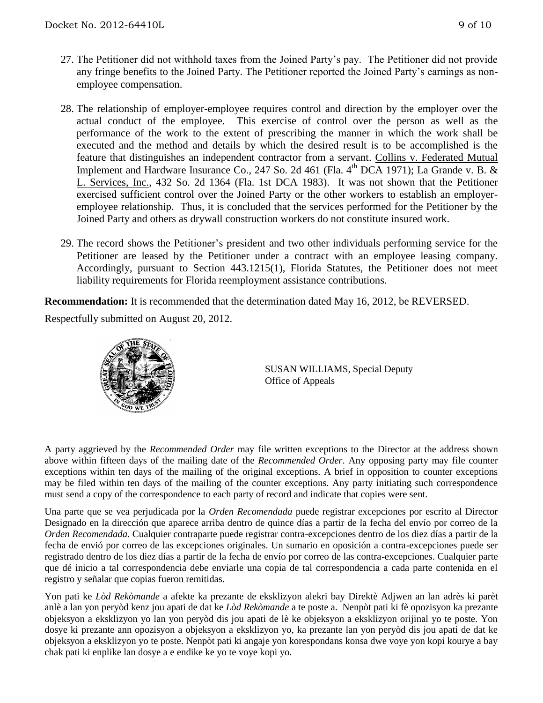- 27. The Petitioner did not withhold taxes from the Joined Party's pay. The Petitioner did not provide any fringe benefits to the Joined Party. The Petitioner reported the Joined Party's earnings as nonemployee compensation.
- 28. The relationship of employer-employee requires control and direction by the employer over the actual conduct of the employee. This exercise of control over the person as well as the performance of the work to the extent of prescribing the manner in which the work shall be executed and the method and details by which the desired result is to be accomplished is the feature that distinguishes an independent contractor from a servant. Collins v. Federated Mutual Implement and Hardware Insurance Co., 247 So. 2d 461 (Fla. 4<sup>th</sup> DCA 1971); La Grande v. B. & L. Services, Inc., 432 So. 2d 1364 (Fla. 1st DCA 1983). It was not shown that the Petitioner exercised sufficient control over the Joined Party or the other workers to establish an employeremployee relationship. Thus, it is concluded that the services performed for the Petitioner by the Joined Party and others as drywall construction workers do not constitute insured work.
- 29. The record shows the Petitioner's president and two other individuals performing service for the Petitioner are leased by the Petitioner under a contract with an employee leasing company. Accordingly, pursuant to Section 443.1215(1), Florida Statutes, the Petitioner does not meet liability requirements for Florida reemployment assistance contributions.

**Recommendation:** It is recommended that the determination dated May 16, 2012, be REVERSED. Respectfully submitted on August 20, 2012.



SUSAN WILLIAMS, Special Deputy Office of Appeals

A party aggrieved by the *Recommended Order* may file written exceptions to the Director at the address shown above within fifteen days of the mailing date of the *Recommended Order*. Any opposing party may file counter exceptions within ten days of the mailing of the original exceptions. A brief in opposition to counter exceptions may be filed within ten days of the mailing of the counter exceptions. Any party initiating such correspondence must send a copy of the correspondence to each party of record and indicate that copies were sent.

Una parte que se vea perjudicada por la *Orden Recomendada* puede registrar excepciones por escrito al Director Designado en la dirección que aparece arriba dentro de quince días a partir de la fecha del envío por correo de la *Orden Recomendada*. Cualquier contraparte puede registrar contra-excepciones dentro de los diez días a partir de la fecha de envió por correo de las excepciones originales. Un sumario en oposición a contra-excepciones puede ser registrado dentro de los diez días a partir de la fecha de envío por correo de las contra-excepciones. Cualquier parte que dé inicio a tal correspondencia debe enviarle una copia de tal correspondencia a cada parte contenida en el registro y señalar que copias fueron remitidas.

Yon pati ke *Lòd Rekòmande* a afekte ka prezante de eksklizyon alekri bay Direktè Adjwen an lan adrès ki parèt anlè a lan yon peryòd kenz jou apati de dat ke *Lòd Rekòmande* a te poste a. Nenpòt pati ki fè opozisyon ka prezante objeksyon a eksklizyon yo lan yon peryòd dis jou apati de lè ke objeksyon a eksklizyon orijinal yo te poste. Yon dosye ki prezante ann opozisyon a objeksyon a eksklizyon yo, ka prezante lan yon peryòd dis jou apati de dat ke objeksyon a eksklizyon yo te poste. Nenpòt pati ki angaje yon korespondans konsa dwe voye yon kopi kourye a bay chak pati ki enplike lan dosye a e endike ke yo te voye kopi yo.